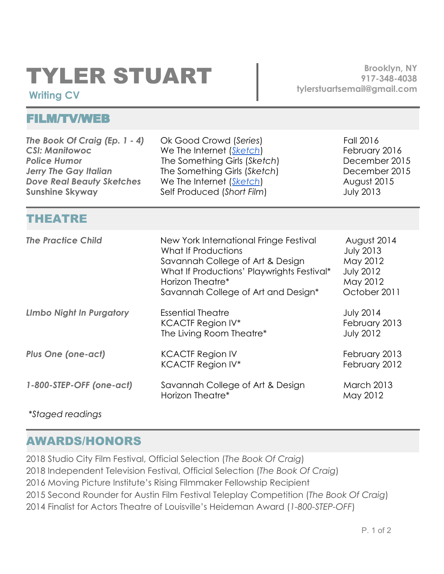## TYLER STUART

**Brooklyn, NY 917-348-4038 tylerstuartsemail@gmai[l.com](mailto:info@hloom.com)**

## **Writing CV**

## FILM/TV/WEB

| The Book Of Craig (Ep. 1 - 4)<br><b>CSI: Manitowoc</b><br><b>Police Humor</b><br><b>Jerry The Gay Italian</b><br><b>Dove Real Beauty Sketches</b><br><b>Sunshine Skyway</b> | Ok Good Crowd (Series)<br>We The Internet (Sketch)<br>The Something Girls (Sketch)<br>The Something Girls (Sketch)<br>We The Internet (Sketch)<br>Self Produced (Short Film)                               | Fall 2016<br>February 2016<br>December 2015<br>December 2015<br>August 2015<br><b>July 2013</b> |
|-----------------------------------------------------------------------------------------------------------------------------------------------------------------------------|------------------------------------------------------------------------------------------------------------------------------------------------------------------------------------------------------------|-------------------------------------------------------------------------------------------------|
| <b>THEATRE</b>                                                                                                                                                              |                                                                                                                                                                                                            |                                                                                                 |
| <b>The Practice Child</b>                                                                                                                                                   | New York International Fringe Festival<br>What If Productions<br>Savannah College of Art & Design<br>What If Productions' Playwrights Festival*<br>Horizon Theatre*<br>Savannah College of Art and Design* | August 2014<br><b>July 2013</b><br>May 2012<br><b>July 2012</b><br>May 2012<br>October 2011     |
| <b>Limbo Night In Purgatory</b>                                                                                                                                             | <b>Essential Theatre</b><br><b>KCACTF Region IV*</b><br>The Living Room Theatre*                                                                                                                           | <b>July 2014</b><br>February 2013<br><b>July 2012</b>                                           |
| <b>Plus One (one-act)</b>                                                                                                                                                   | <b>KCACTF Region IV</b><br><b>KCACTF Region IV*</b>                                                                                                                                                        | February 2013<br>February 2012                                                                  |
| 1-800-STEP-OFF (one-act)                                                                                                                                                    | Savannah College of Art & Design<br>Horizon Theatre*                                                                                                                                                       | <b>March 2013</b><br>May 2012                                                                   |
| <i>*Staged readings</i>                                                                                                                                                     |                                                                                                                                                                                                            |                                                                                                 |

AWARDS/HONORS

2018 Studio City Film Festival, Official Selection (*The Book Of Craig*) 2018 Independent Television Festival, Official Selection (*The Book Of Craig*) 2016 Moving Picture Institute's Rising Filmmaker Fellowship Recipient 2015 Second Rounder for Austin Film Festival Teleplay Competition (*The Book Of Craig*) 2014 Finalist for Actors Theatre of Louisville's Heideman Award (*1-800-STEP-OFF*)